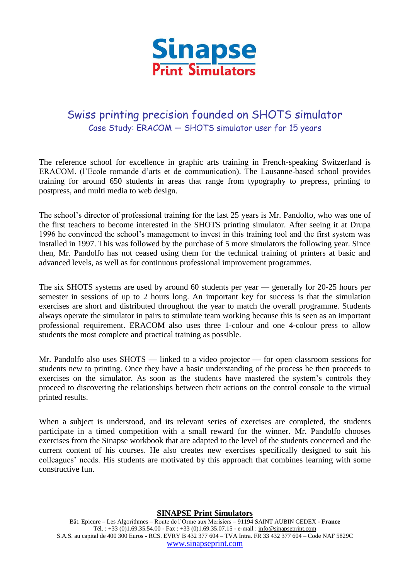

## Swiss printing precision founded on SHOTS simulator Case Study: ERACOM — SHOTS simulator user for 15 years

The reference school for excellence in graphic arts training in French-speaking Switzerland is ERACOM. (l'Ecole romande d'arts et de communication). The Lausanne-based school provides training for around 650 students in areas that range from typography to prepress, printing to postpress, and multi media to web design.

The school's director of professional training for the last 25 years is Mr. Pandolfo, who was one of the first teachers to become interested in the SHOTS printing simulator. After seeing it at Drupa 1996 he convinced the school's management to invest in this training tool and the first system was installed in 1997. This was followed by the purchase of 5 more simulators the following year. Since then, Mr. Pandolfo has not ceased using them for the technical training of printers at basic and advanced levels, as well as for continuous professional improvement programmes.

The six SHOTS systems are used by around 60 students per year — generally for 20-25 hours per semester in sessions of up to 2 hours long. An important key for success is that the simulation exercises are short and distributed throughout the year to match the overall programme. Students always operate the simulator in pairs to stimulate team working because this is seen as an important professional requirement. ERACOM also uses three 1-colour and one 4-colour press to allow students the most complete and practical training as possible.

Mr. Pandolfo also uses SHOTS — linked to a video projector — for open classroom sessions for students new to printing. Once they have a basic understanding of the process he then proceeds to exercises on the simulator. As soon as the students have mastered the system's controls they proceed to discovering the relationships between their actions on the control console to the virtual printed results.

When a subject is understood, and its relevant series of exercises are completed, the students participate in a timed competition with a small reward for the winner. Mr. Pandolfo chooses exercises from the Sinapse workbook that are adapted to the level of the students concerned and the current content of his courses. He also creates new exercises specifically designed to suit his colleagues' needs. His students are motivated by this approach that combines learning with some constructive fun.

**SINAPSE Print Simulators**